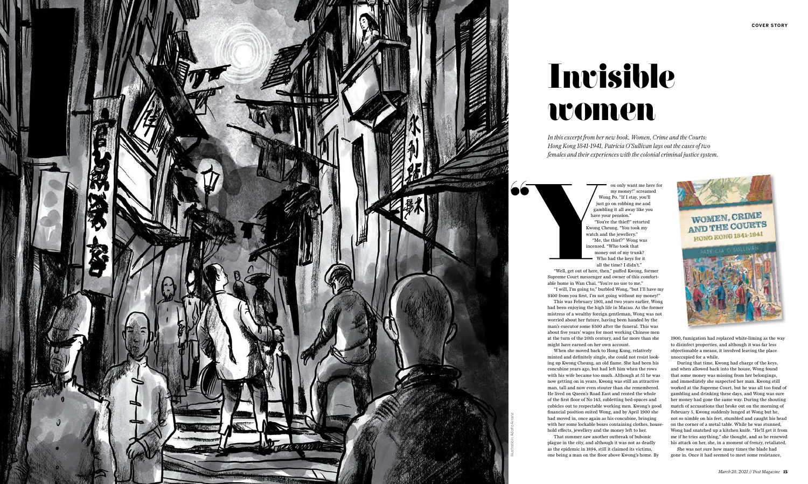

## Invisible women

 $\bullet$ 

*In this excerpt from her new book, Women, Crime and the Courts: Hong Kong 1841-1941, Patricia O'Sullivan lays out the cases of two females and their experiences with the colonial criminal justice system.* 

> ou only want me here for my money!" screamed Wong Po. "If I stay, you'll just go on robbing me and gambling it all away like you have your pension." "You're the thief!" retorted Kwong Cheung. "You took my watch and the jewellery." "Me, the thief?" Wong was incensed. "Who took that money out of my trunk? Who had the keys for it all the time? I didn't."

"Well, get out of here, then," puffed Kwong, former Supreme Court messenger and owner of this comfort able home in Wan Chai. "You're no use to me."

"I will, I'm going to," burbled Wong, "but I'll have my \$100 from you first, I'm not going without my money!"

This was February 1901, and two years earlier, Wong had been enjoying the high life in Macau. As the former mistress of a wealthy foreign gentleman, Wong was not worried about her future, having been handed by the man's executor some \$500 after the funeral. This was about five years' wages for most working Chinese men at the turn of the 20th century, and far more than she might have earned on her own account.

When she moved back to Hong Kong, relatively minted and definitely single, she could not resist looking up Kwong Cheung, an old flame. She had been his concubine years ago, but had left him when the rows with his wife became too much. Although at 51 he was now getting on in years, Kwong was still an attractive man, tall and now even stouter than she remembered. He lived on Queen's Road East and rented the whole of the first floor of No 143, subletting bed-spaces and cubicles out to respectable working men. Kwong's good financial position suited Wong, and by April 1900 she had moved in, once again as his concubine, bringing with her some lockable boxes containing clothes, house hold effects, jewellery and the money left to her.

That summer saw another outbreak of bubonic plague in the city, and although it was not as deadly as the epidemic in 1894, still it claimed its victims, one being a man on the floor above Kwong's home. By



1900, fumigation had replaced white-liming as the way to disinfect properties, and although it was far less objectionable a means, it involved leaving the place unoccupied for a while.

During that time, Kwong had charge of the keys, and when allowed back into the house, Wong found that some money was missing from her belongings, and immediately she suspected her man. Kwong still worked at the Supreme Court, but he was all too fond of gambling and drinking these days, and Wong was sure her money had gone the same way. During the shouting match of accusations that broke out on the morning of February 5, Kwong suddenly lunged at Wong but he, not so nimble on his feet, stumbled and caught his head on the corner of a metal table. While he was stunned, Wong had snatched up a kitchen knife. "He'll get it from me if he tries anything," she thought, and as he renewed his attack on her, she, in a moment of frenzy, retaliated.

She was not sure how many times the blade had gone in. Once it had seemed to meet some resistance,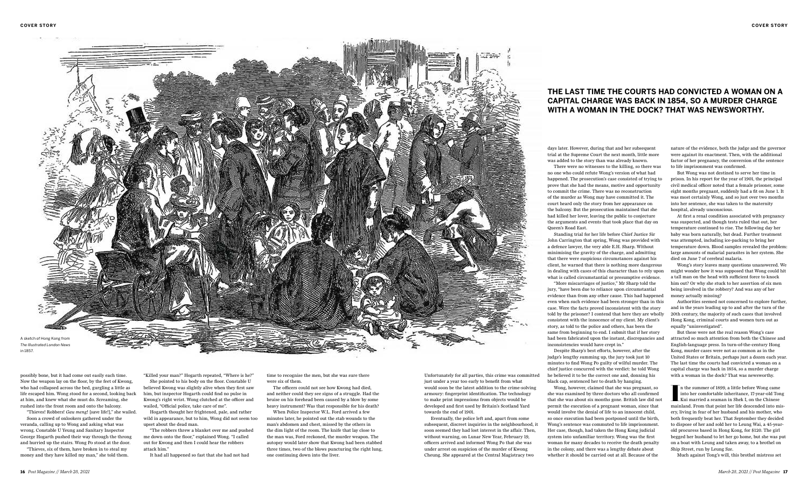possibly bone, but it had come out easily each time. Now the weapon lay on the floor, by the feet of Kwong, who had collapsed across the bed, gurgling a little as life escaped him. Wong stood for a second, looking back at him, and knew what she must do. Screaming, she rushed into the front room and onto the balcony.

"Thieves! Robbers! *Gau meng*! [save life!]," she wailed. Soon a crowd of onlookers gathered under the veranda, calling up to Wong and asking what was wrong. Constable U Yeung and Sanitary Inspector George Hogarth pushed their way through the throng and hurried up the stairs. Wong Po stood at the door.

"Thieves, six of them, have broken in to steal my money and they have killed my man," she told them. "Killed your man?" Hogarth repeated, "Where is he?" She pointed to his body on the floor. Constable U believed Kwong was slightly alive when they first saw him, but inspector Hogarth could find no pulse in Kwong's right wrist. Wong clutched at the officer and wailed, "Official police, take care of me".

Hogarth thought her frightened, pale, and rather wild in appearance, but to him, Wong did not seem too upset about the dead man.

"The robbers threw a blanket over me and pushed me down onto the floor," explained Wong. "I called out for Kwong and then I could hear the robbers attack him."

It had all happened so fast that she had not had

time to recognise the men, but she was sure there were six of them.

The officers could not see how Kwong had died, and neither could they see signs of a struggle. Had the bruise on his forehead been caused by a blow by some heavy instrument? Was that responsible for his death?

When Police Inspector W.L. Ford arrived a few minutes later, he pointed out the stab wounds to the man's abdomen and chest, missed by the others in the dim light of the room. The knife that lay close to the man was, Ford reckoned, the murder weapon. The autopsy would later show that Kwong had been stabbed three times, two of the blows puncturing the right lung, one continuing down into the liver.

Unfortunately for all parties, this crime was committed just under a year too early to benefit from what would soon be the latest addition to the crime-solving armoury: fingerprint identification. The technology to make print impressions from objects would be developed and first used by Britain's Scotland Yard towards the end of 1901.

Eventually, the police left and, apart from some subsequent, discreet inquiries in the neighbourhood, it soon seemed they had lost interest in the affair. Then, without warning, on Lunar New Year, February 19, officers arrived and informed Wong Po that she was under arrest on suspicion of the murder of Kwong Cheung. She appeared at the Central Magistracy two

days later. However, during that and her subsequent trial at the Supreme Court the next month, little more was added to the story than was already known.

There were no witnesses to the killing, so there was no one who could refute Wong's version of what had happened. The prosecution's case consisted of trying to prove that she had the means, motive and opportunity to commit the crime. There was no reconstruction of the murder as Wong may have committed it. The court heard only the story from her appearance on the balcony. But the prosecution maintained that she had killed her lover, leaving the public to conjecture the arguments and events that took place that day on Queen's Road East.

Standing trial for her life before Chief Justice Sir John Carrington that spring, Wong was provided with a defence lawyer, the very able E.H. Sharp. Without minimising the gravity of the charge, and admitting that there were suspicious circumstances against his client, he warned that there is nothing more dangerous in dealing with cases of this character than to rely upon what is called circumstantial or presumptive evidence.

> n the summer of 1899, a little before Wong came<br>into her comfortable inheritance, 17-year-old Tong<br>LKui married a seaman in Shek I, on the Chinese<br>mainland. From that point her life descended into misn the summer of 1899, a little before Wong came into her comfortable inheritance, 17-year-old Tong Kui married a seaman in Shek I, on the Chinese ery, living in fear of her husband and his mother, who both frequently beat her. That September they decided to dispose of her and sold her to Leung Wai, a 45-yearold procuress based in Hong Kong, for \$120. The girl begged her husband to let her go home, but she was put on a boat with Leung and taken away, to a brothel on Ship Street, run by Leung Sze.



"More miscarriages of justice," Mr Sharp told the jury, "have been due to reliance upon circumstantial evidence than from any other cause. This had happened even when such evidence had been stronger than in this case. Were the facts proved inconsistent with the story told by the prisoner? I contend that here they are wholly consistent with the innocence of my client. My client's story, as told to the police and others, has been the same from beginning to end. I submit that if her story had been fabricated upon the instant, discrepancies and inconsistencies would have crept in."

Despite Sharp's best efforts, however, after the judge's lengthy summing up, the jury took just 10 minutes to find Wong Po guilty of wilful murder. The chief justice concurred with the verdict: he told Wong he believed it to be the correct one and, donning his black cap, sentenced her to death by hanging.

Wong, however, claimed that she was pregnant, so she was examined by three doctors who all confirmed that she was about six months gone. British law did not permit the execution of a pregnant woman, since that would involve the denial of life to an innocent child, so once execution had been postponed until the birth, Wong's sentence was commuted to life imprisonment. Her case, though, had taken the Hong Kong judicial system into unfamiliar territory. Wong was the first woman for many decades to receive the death penalty in the colony, and there was a lengthy debate about whether it should be carried out at all. Because of the

nature of the evidence, both the judge and the governor were against its enactment. Then, with the additional factor of her pregnancy, the conversion of the sentence to life imprisonment was confirmed.

But Wong was not destined to serve her time in prison. In his report for the year of 1901, the principal civil medical officer noted that a female prisoner, some eight months pregnant, suddenly had a fit on June 1. It was most certainly Wong, and so just over two months into her sentence, she was taken to the maternity hospital, already unconscious.

At first a renal condition associated with pregnancy was suspected, and though tests ruled that out, her temperature continued to rise. The following day her baby was born naturally, but dead. Further treatment was attempted, including ice-packing to bring her temperature down. Blood samples revealed the problem: large amounts of malarial parasites in her system. She died on June 7 of cerebral malaria.

Wong's story leaves many questions unanswered. We might wonder how it was supposed that Wong could hit a tall man on the head with sufficient force to knock him out? Or why she stuck to her assertion of six men being involved in the robbery? And was any of her money actually missing?

Authorities seemed not concerned to explore further, and in the years leading up to and after the turn of the 20th century, the majority of such cases that involved Hong Kong, criminal courts and women turn out as equally "uninvestigated".

But these were not the real reason Wong's case attracted so much attention from both the Chinese and English-language press. In turn-of-the-century Hong Kong, murder cases were not as common as in the United States or Britain, perhaps just a dozen each year. The last time the courts had convicted a woman on a capital charge was back in 1854, so a murder charge with a woman in the dock? That was newsworthy.

Much against Tong's will, this brothel mistress set

## **THE LAST TIME THE COURTS HAD CONVICTED A WOMAN ON A CAPITAL CHARGE WAS BACK IN 1854, SO A MURDER CHARGE WITH A WOMAN IN THE DOCK? THAT WAS NEWSWORTHY.**